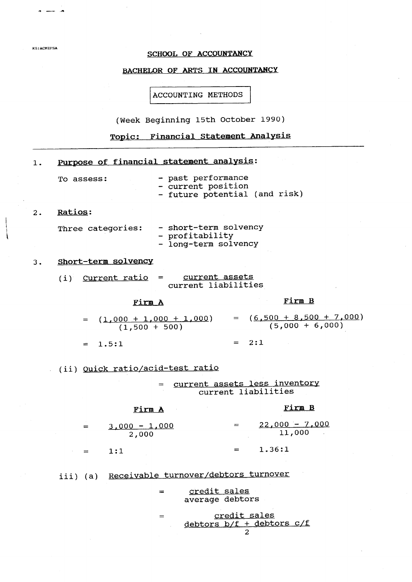### SCHOOL OF ACCOUNTANCY

**KS:ACMEFSA** 

# BACHELOR OF ARTS IN ACCOUNTANCY

ACCOUNTING METHODS

(Week Beginning 15th October 1990)

Topic: Financial Statement Analysis

| $1$ . | Purpose of financial statement analysis:                                                     |
|-------|----------------------------------------------------------------------------------------------|
|       | - past performance<br>To assess:<br>- current position<br>- future potential (and risk)      |
| 2.    | Ratios:                                                                                      |
|       | - short-term solvency<br>Three categories:<br>- profitability<br>- long-term solvency        |
| 3.    | Short-term solvency                                                                          |
|       | (i) Current ratio = current assets<br>current liabilities                                    |
|       | Firm B<br>Firm A                                                                             |
|       | = $(1,000 + 1,000 + 1,000)$ = $(6,500 + 8,500 + 7,000)$<br>(1,500 + 500) = $(5,000 + 6,000)$ |
|       | $= 2:1$<br>$= 1.5:1$                                                                         |
|       | (ii) Quick ratio/acid-test ratio                                                             |
|       | current assets less inventory<br>$=$<br>current liabilities                                  |
|       | <u>Firm B</u><br>Firm A                                                                      |
|       | $22,000 - 7,000$<br>$=$<br>$3,000 - 1,000$<br>$=$<br>11,000<br>2,000                         |
|       | 1.36:1<br>1:1<br>$=$                                                                         |
|       | iii) (a) Receivable turnover/debtors turnover                                                |
|       | credit sales<br>$=$<br>average debtors                                                       |
|       | credit sales<br>$=$<br>debtors b/f + debtors c/f                                             |

 $\overline{2}$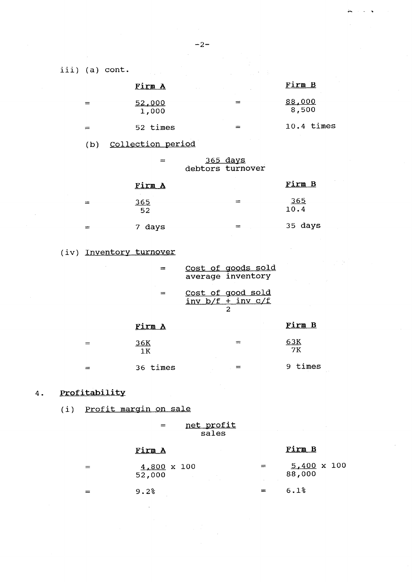iii) (a) cont.

|     | Firm A<br>$\alpha = 0.1$ |   | Firm B                 |
|-----|--------------------------|---|------------------------|
| =   | 52,000<br>1,000          | ᆖ | <u>88,000</u><br>8,500 |
| $=$ | 52 times                 |   | $10.4$ times           |

(b) Collection period

| $=$ | <u>365 days</u>  |
|-----|------------------|
|     | debtors turnover |

|     | Firm A           | Firm B             |
|-----|------------------|--------------------|
| ≕   | <u>365</u><br>52 | <u>365</u><br>10.4 |
| $=$ | 7 days           | 35 days            |

## (iv) Inventory turnover

|                  | Cost of goods sold<br>average inventory              |            |
|------------------|------------------------------------------------------|------------|
|                  | <u>Cost of good sold</u><br>$inv b/f + inv c/f$<br>2 |            |
| Firm A           |                                                      | Firm B     |
| <u>36K</u><br>1K | ≔                                                    | 63K<br>7K  |
| 36 times         |                                                      | times<br>9 |

#### Profitability  $4.$

(i) Profit margin on sale

net profit  $\qquad \qquad =$ sales

### Firm A

| $=$ | $4,800 \times 100$<br>52,000 | $=$ | $5,400 \times 100$<br>88,000 |
|-----|------------------------------|-----|------------------------------|
|     | 9.2%                         | $=$ | 6.1%                         |

Firm B

 $-2-$ 

 $\mathbf{R}$  $\ddot{\phantom{a}}$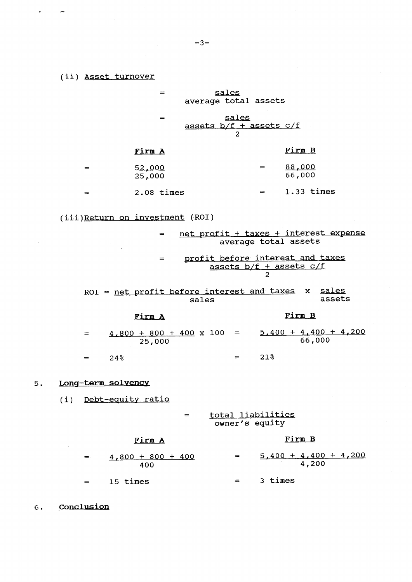$\bullet$   $\qquad$   $\sim$ 

|    |     |                    | $=$                                            |     |       | sales        | average total assets                       |                                                                 |                        |  |
|----|-----|--------------------|------------------------------------------------|-----|-------|--------------|--------------------------------------------|-----------------------------------------------------------------|------------------------|--|
|    |     |                    | $=$                                            |     |       | <u>sales</u> | assets $\frac{b}{f}$ + assets $c/f$        |                                                                 |                        |  |
|    |     |                    | Firm A                                         |     |       |              |                                            | Firm B                                                          |                        |  |
|    | $=$ |                    | 52,000<br>25,000                               |     |       |              | $=$                                        | 88,000<br>66,000                                                |                        |  |
|    | $=$ |                    | $2.08$ times                                   |     |       |              | $\mathbf{r} = \mathbf{r} \cdot \mathbf{r}$ | $1.33$ times                                                    |                        |  |
|    |     |                    | (iii)Return on investment (ROI)                |     |       |              |                                            |                                                                 |                        |  |
|    |     |                    |                                                |     |       |              |                                            | net profit + taxes + interest expense<br>average total assets   |                        |  |
|    |     |                    | $=$                                            |     |       |              |                                            | profit before interest and taxes<br>assets $b/f +$ assets $c/f$ |                        |  |
|    |     |                    | $ROI = net profit before interest and taxes x$ |     | sales |              |                                            |                                                                 | <u>sales</u><br>assets |  |
|    |     |                    | Firm A                                         |     |       |              |                                            | Firm B                                                          |                        |  |
|    | $=$ |                    | $4,800 + 800 + 400 \times 100 =$<br>25,000     |     |       |              |                                            | $\frac{5,400 + 4,400 + 4,200}{66,000}$                          |                        |  |
|    | $=$ | 24%                |                                                |     |       |              | $= 21\%$                                   |                                                                 |                        |  |
| 5. |     | Long-term solvency |                                                |     |       |              |                                            |                                                                 |                        |  |
|    |     |                    | (i) Debt-equity ratio                          |     |       |              |                                            |                                                                 |                        |  |
|    |     |                    |                                                | $=$ |       |              | total liabilities<br>owner's equity        |                                                                 |                        |  |
|    |     |                    | Firm A                                         |     |       |              |                                            | Firm B                                                          |                        |  |
|    | =   |                    | $4,800 + 800 + 400$                            |     |       | $=$          |                                            | $5,400 + 4,400 + 4,200$                                         |                        |  |

 $\frac{5,400 + 4,400 + 4,200}{4,200}$  $4,800 + 800 + 400$ 400 15 times  $=$  3 times  $=$ 

6. Conclusion

 $\hat{\boldsymbol{\beta}}$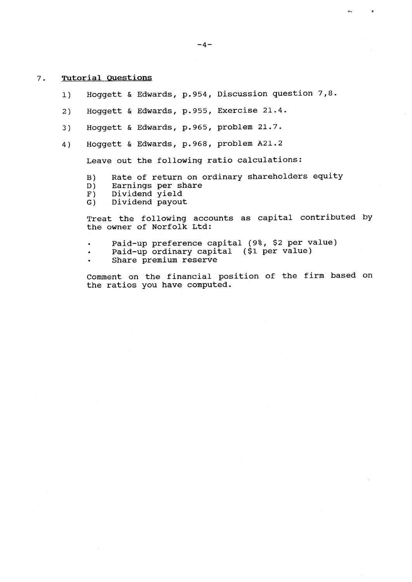#### $7.$ Tutorial Questions

- Hoggett & Edwards, p.954, Discussion question 7,8.  $1)$
- Hoggett & Edwards, p.955, Exercise 21.4.  $2)$
- Hoqqett & Edwards, p.965, problem 21.7.  $3)$
- Hoqqett & Edwards, p.968, problem A21.2  $4)$

Leave out the following ratio calculations:

- Rate of return on ordinary shareholders equity  $B)$
- Earnings per share  $D)$
- Dividend yield  $F)$
- $G)$ Dividend payout

Treat the following accounts as capital contributed by the owner of Norfolk Ltd:

- Paid-up preference capital (9%, \$2 per value)
- Paid-up ordinary capital (\$1 per value)
- Share premium reserve

Comment on the financial position of the firm based on the ratios you have computed.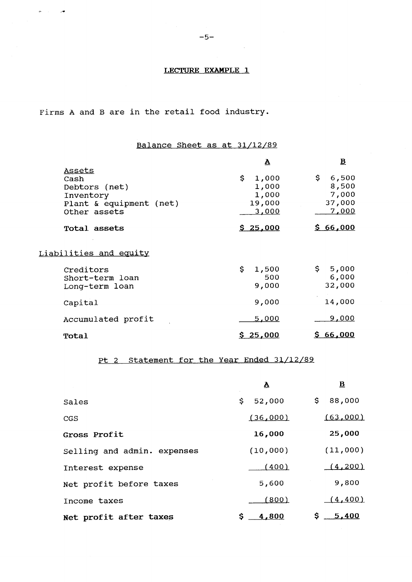### LECTURE EXAMPLE 1

Firms A and B are in the retail food industry.

 $\begin{array}{ccccc} \bullet & \circ & \circ & \bullet \end{array}$ 

# Balance Sheet as at 31/12/89

|                                                                                         | $\overline{\mathbf{v}}$                          | $\overline{\mathbf{B}}$                           |
|-----------------------------------------------------------------------------------------|--------------------------------------------------|---------------------------------------------------|
| Assets<br>Cash<br>Debtors (net)<br>Inventory<br>Plant & equipment (net)<br>Other assets | \$<br>1,000<br>1,000<br>1,000<br>19,000<br>3,000 | \$.<br>6,500<br>8,500<br>7,000<br>37,000<br>7,000 |
| Total assets                                                                            | \$25,000                                         | \$66,000                                          |
| Liabilities and equity                                                                  |                                                  |                                                   |
| Creditors<br>Short-term loan<br>Long-term loan                                          | \$<br>1,500<br>500<br>9,000                      | \$.<br>5,000<br>6,000<br>32,000                   |
| Capital                                                                                 | 9,000                                            | 14,000                                            |
| Accumulated profit                                                                      | 5,000                                            | <u>9,000</u>                                      |
| Total                                                                                   | \$25,000                                         | \$66,000                                          |

## Pt 2 Statement for the Year Ended 31/12/89

|                             | A            | $\overline{\mathbf{B}}$ |
|-----------------------------|--------------|-------------------------|
| Sales                       | 52,000<br>\$ | 88,000<br>\$.           |
| <b>CGS</b>                  | (36,000)     | (63,000)                |
| Gross Profit                | 16,000       | 25,000                  |
| Selling and admin. expenses | (10,000)     | (11,000)                |
| Interest expense            | (400)        | (4, 200)                |
| Net profit before taxes     | 5,600        | 9,800                   |
| Income taxes                | (800)        | (4, 400)                |
| Net profit after taxes      | \$<br>4,800  | \$.<br>5,400            |

 $\sim 10$